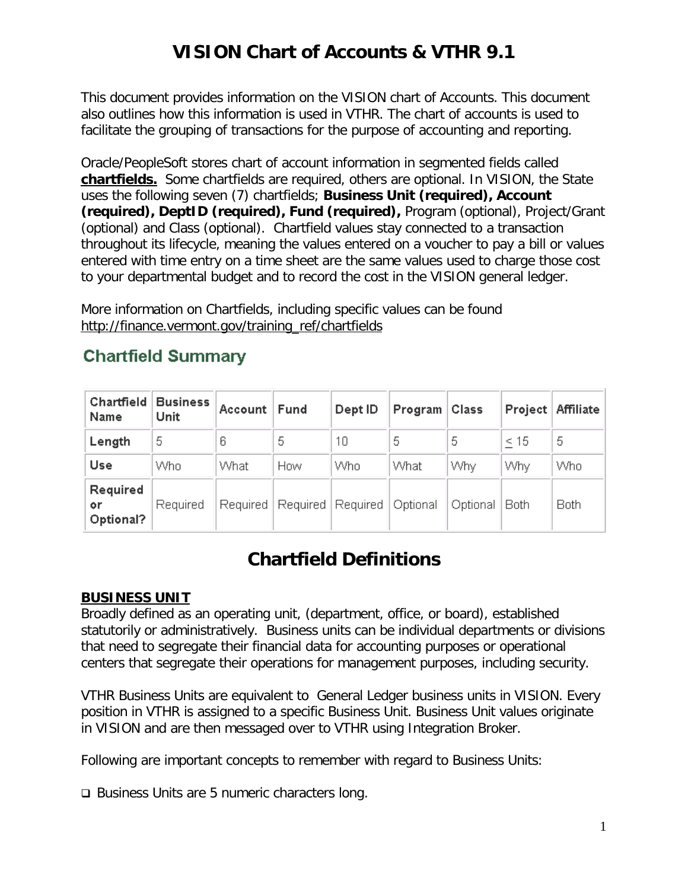This document provides information on the VISION chart of Accounts. This document also outlines how this information is used in VTHR. The chart of accounts is used to facilitate the grouping of transactions for the purpose of accounting and reporting.

Oracle/PeopleSoft stores chart of account information in segmented fields called **chartfields.** Some chartfields are required, others are optional. In VISION, the State uses the following seven (7) chartfields; **Business Unit (required), Account (required), DeptID (required), Fund (required),** Program (optional), Project/Grant (optional) and Class (optional). Chartfield values stay connected to a transaction throughout its lifecycle, meaning the values entered on a voucher to pay a bill or values entered with time entry on a time sheet are the same values used to charge those cost to your departmental budget and to record the cost in the VISION general ledger.

More information on Chartfields, including specific values can be found [http://finance.vermont.gov/training\\_ref/chartfields](http://finance.vermont.gov/training_ref/chartfields) 

| Chartfield<br>Name          | <b>Business</b><br>Unit | Account   Fund |                     | Dept ID | $Program \,  $ | Class    |           | Project   Affiliate |
|-----------------------------|-------------------------|----------------|---------------------|---------|----------------|----------|-----------|---------------------|
| Length                      | 5                       | 6              | 5                   | 10      | 5              | 5        | $\leq 15$ | 5                   |
| Use                         | Who                     | What           | How                 | Who     | What           | Why      | Why       | Who                 |
| Required<br>٥r<br>Optional? | Required                | Required       | Required   Required |         | Optional       | Optional | Both      | <b>Both</b>         |

## **Chartfield Summary**

## **Chartfield Definitions**

#### **BUSINESS UNIT**

Broadly defined as an operating unit, (department, office, or board), established statutorily or administratively. Business units can be individual departments or divisions that need to segregate their financial data for accounting purposes or operational centers that segregate their operations for management purposes, including security.

VTHR Business Units are equivalent to General Ledger business units in VISION. Every position in VTHR is assigned to a specific Business Unit. Business Unit values originate in VISION and are then messaged over to VTHR using Integration Broker.

Following are important concepts to remember with regard to Business Units:

 $\square$  Business Units are 5 numeric characters long.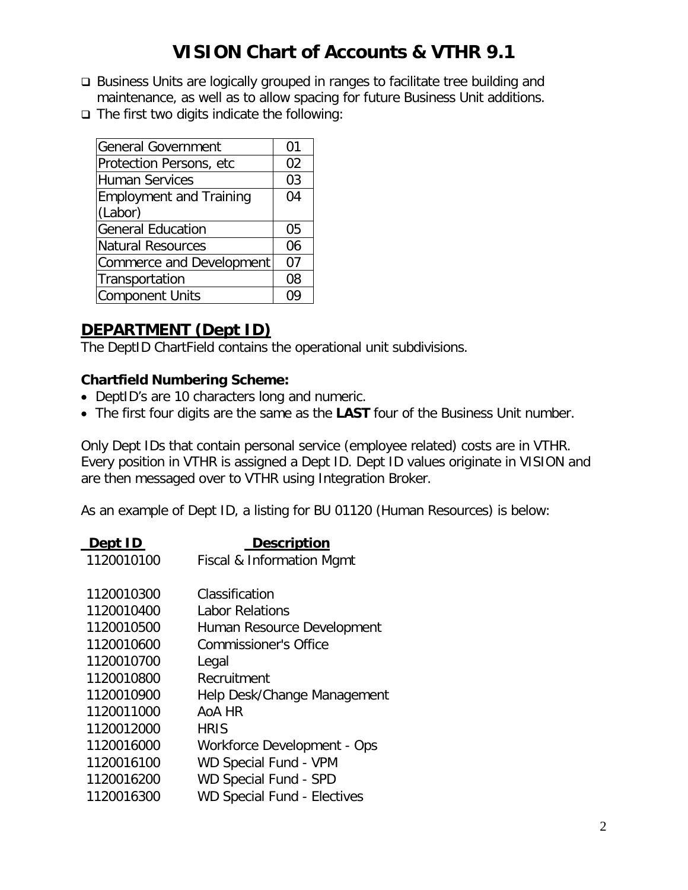- □ Business Units are logically grouped in ranges to facilitate tree building and maintenance, as well as to allow spacing for future Business Unit additions.
- $\Box$  The first two digits indicate the following:

| <b>General Government</b>      | 01 |
|--------------------------------|----|
| Protection Persons, etc.       | 02 |
| <b>Human Services</b>          | 03 |
| <b>Employment and Training</b> | 04 |
| (Labor)                        |    |
| <b>General Education</b>       | 05 |
| <b>Natural Resources</b>       | 06 |
| Commerce and Development       | 07 |
| Transportation                 | 08 |
| <b>Component Units</b>         | ng |

### **DEPARTMENT (Dept ID)**

The DeptID ChartField contains the operational unit subdivisions.

#### **Chartfield Numbering Scheme:**

- DeptID's are 10 characters long and numeric.
- The first four digits are the same as the **LAST** four of the Business Unit number.

Only Dept IDs that contain personal service (employee related) costs are in VTHR. Every position in VTHR is assigned a Dept ID. Dept ID values originate in VISION and are then messaged over to VTHR using Integration Broker.

As an example of Dept ID, a listing for BU 01120 (Human Resources) is below:

| Dept ID    | <b>Description</b>                   |
|------------|--------------------------------------|
| 1120010100 | <b>Fiscal &amp; Information Mgmt</b> |
|            |                                      |
| 1120010300 | Classification                       |
| 1120010400 | Labor Relations                      |
| 1120010500 | Human Resource Development           |
| 1120010600 | <b>Commissioner's Office</b>         |
| 1120010700 | Legal                                |
| 1120010800 | Recruitment                          |
| 1120010900 | Help Desk/Change Management          |
| 1120011000 | AoA HR                               |
| 1120012000 | <b>HRIS</b>                          |
| 1120016000 | Workforce Development - Ops          |
| 1120016100 | WD Special Fund - VPM                |
| 1120016200 | <b>WD Special Fund - SPD</b>         |
| 1120016300 | <b>WD Special Fund - Electives</b>   |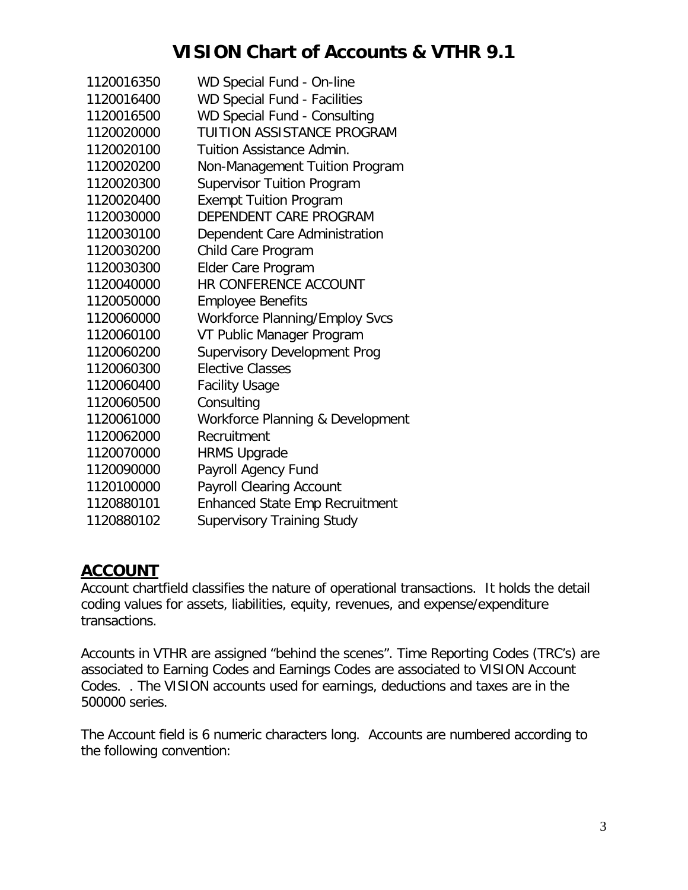| 1120016350 | WD Special Fund - On-line             |
|------------|---------------------------------------|
| 1120016400 | WD Special Fund - Facilities          |
| 1120016500 | WD Special Fund - Consulting          |
| 1120020000 | TUITION ASSISTANCE PROGRAM            |
| 1120020100 | <b>Tuition Assistance Admin.</b>      |
| 1120020200 | Non-Management Tuition Program        |
| 1120020300 | <b>Supervisor Tuition Program</b>     |
| 1120020400 | <b>Exempt Tuition Program</b>         |
| 1120030000 | DEPENDENT CARE PROGRAM                |
| 1120030100 | Dependent Care Administration         |
| 1120030200 | Child Care Program                    |
| 1120030300 | Elder Care Program                    |
| 1120040000 | HR CONFERENCE ACCOUNT                 |
| 1120050000 | <b>Employee Benefits</b>              |
| 1120060000 | <b>Workforce Planning/Employ Svcs</b> |
| 1120060100 | VT Public Manager Program             |
| 1120060200 | <b>Supervisory Development Prog</b>   |
| 1120060300 | <b>Elective Classes</b>               |
| 1120060400 | <b>Facility Usage</b>                 |
| 1120060500 | Consulting                            |
| 1120061000 | Workforce Planning & Development      |
| 1120062000 | Recruitment                           |
| 1120070000 | <b>HRMS Upgrade</b>                   |
| 1120090000 | Payroll Agency Fund                   |
| 1120100000 | <b>Payroll Clearing Account</b>       |
| 1120880101 | <b>Enhanced State Emp Recruitment</b> |
| 1120880102 | <b>Supervisory Training Study</b>     |

### **ACCOUNT**

Account chartfield classifies the nature of operational transactions. It holds the detail coding values for assets, liabilities, equity, revenues, and expense/expenditure transactions.

Accounts in VTHR are assigned "behind the scenes". Time Reporting Codes (TRC's) are associated to Earning Codes and Earnings Codes are associated to VISION Account Codes. . The VISION accounts used for earnings, deductions and taxes are in the 500000 series.

The Account field is 6 numeric characters long. Accounts are numbered according to the following convention: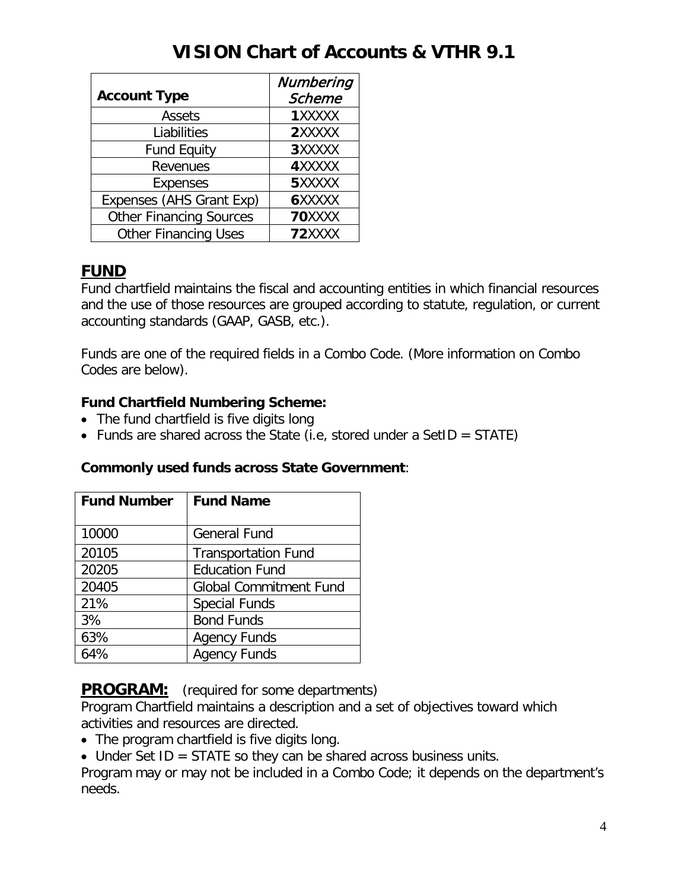|                                | Numbering     |
|--------------------------------|---------------|
| <b>Account Type</b>            | <b>Scheme</b> |
| Assets                         | 1XXXXX        |
| Liabilities                    | 2XXXXX        |
| <b>Fund Equity</b>             | 3XXXXX        |
| Revenues                       | <b>4XXXXX</b> |
| <b>Expenses</b>                | 5XXXXX        |
| Expenses (AHS Grant Exp)       | 6XXXXX        |
| <b>Other Financing Sources</b> | 70XXXX        |
| <b>Other Financing Uses</b>    | 72XXXX        |

### **FUND**

Fund chartfield maintains the fiscal and accounting entities in which financial resources and the use of those resources are grouped according to statute, regulation, or current accounting standards (GAAP, GASB, etc.).

Funds are one of the required fields in a Combo Code. (More information on Combo Codes are below).

#### **Fund Chartfield Numbering Scheme:**

- The fund chartfield is five digits long
- Funds are shared across the State (i.e, stored under a SetID = STATE)

#### **Commonly used funds across State Government**:

| <b>Fund Number</b> | <b>Fund Name</b>              |  |  |
|--------------------|-------------------------------|--|--|
|                    |                               |  |  |
| 10000              | <b>General Fund</b>           |  |  |
| 20105              | <b>Transportation Fund</b>    |  |  |
| 20205              | <b>Education Fund</b>         |  |  |
| 20405              | <b>Global Commitment Fund</b> |  |  |
| 21%                | <b>Special Funds</b>          |  |  |
| 3%                 | <b>Bond Funds</b>             |  |  |
| 63%                | <b>Agency Funds</b>           |  |  |
| 64%                | <b>Agency Funds</b>           |  |  |

**PROGRAM:** (required for some departments)

Program Chartfield maintains a description and a set of objectives toward which activities and resources are directed.

• The program chartfield is five digits long.

• Under Set ID = STATE so they can be shared across business units.

Program may or may not be included in a Combo Code; it depends on the department's needs.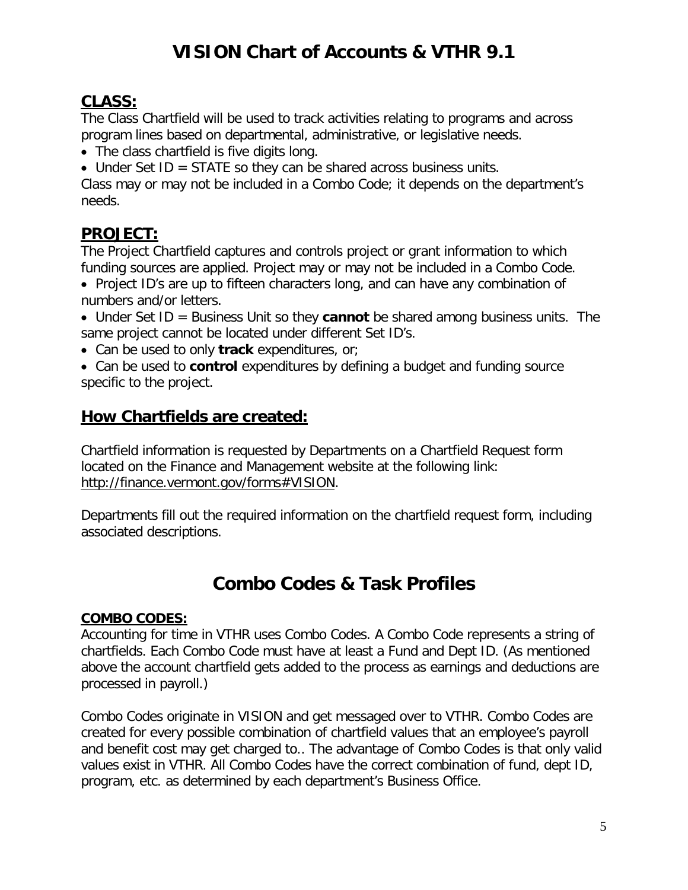### **CLASS:**

The Class Chartfield will be used to track activities relating to programs and across program lines based on departmental, administrative, or legislative needs.

- The class chartfield is five digits long.
- Under Set ID = STATE so they can be shared across business units.

Class may or may not be included in a Combo Code; it depends on the department's needs.

## **PROJECT:**

The Project Chartfield captures and controls project or grant information to which funding sources are applied. Project may or may not be included in a Combo Code.

- Project ID's are up to fifteen characters long, and can have any combination of numbers and/or letters.
- Under Set ID = Business Unit so they **cannot** be shared among business units. The same project cannot be located under different Set ID's.
- Can be used to only **track** expenditures, or;
- Can be used to **control** expenditures by defining a budget and funding source specific to the project.

### **How Chartfields are created:**

Chartfield information is requested by Departments on a Chartfield Request form located on the Finance and Management website at the following link: [http://finance.vermont.gov/forms#VISION.](http://finance.vermont.gov/forms#VISION)

Departments fill out the required information on the chartfield request form, including associated descriptions.

## **Combo Codes & Task Profiles**

#### **COMBO CODES:**

Accounting for time in VTHR uses Combo Codes. A Combo Code represents a string of chartfields. Each Combo Code must have at least a Fund and Dept ID. (As mentioned above the account chartfield gets added to the process as earnings and deductions are processed in payroll.)

Combo Codes originate in VISION and get messaged over to VTHR. Combo Codes are created for every possible combination of chartfield values that an employee's payroll and benefit cost may get charged to.. The advantage of Combo Codes is that only valid values exist in VTHR. All Combo Codes have the correct combination of fund, dept ID, program, etc. as determined by each department's Business Office.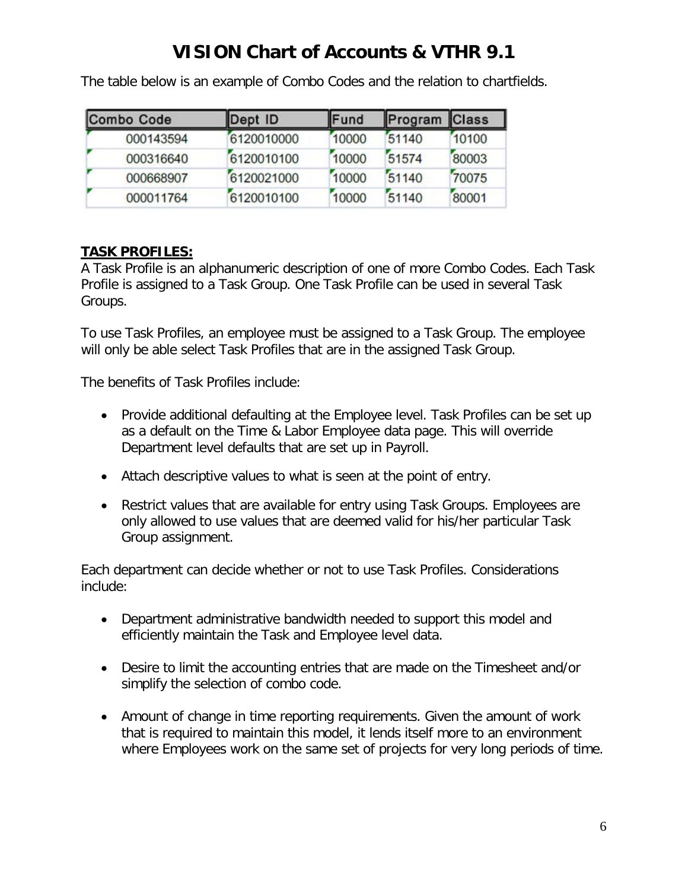| <b>Combo Code</b> |           | Dept ID    | Program<br>Fund |       | <b>Class</b> |
|-------------------|-----------|------------|-----------------|-------|--------------|
|                   | 000143594 | 6120010000 | 10000           | 51140 | 10100        |
|                   | 000316640 | 6120010100 | 10000           | 51574 | 80003        |
|                   | 000668907 | 6120021000 | 10000           | 51140 | 70075        |
|                   | 000011764 | 6120010100 | 10000           | 51140 | 80001        |

The table below is an example of Combo Codes and the relation to chartfields.

#### **TASK PROFILES:**

A Task Profile is an alphanumeric description of one of more Combo Codes. Each Task Profile is assigned to a Task Group. One Task Profile can be used in several Task Groups.

To use Task Profiles, an employee must be assigned to a Task Group. The employee will only be able select Task Profiles that are in the assigned Task Group.

The benefits of Task Profiles include:

- Provide additional defaulting at the Employee level. Task Profiles can be set up as a default on the Time & Labor Employee data page. This will override Department level defaults that are set up in Payroll.
- Attach descriptive values to what is seen at the point of entry.
- Restrict values that are available for entry using Task Groups. Employees are only allowed to use values that are deemed valid for his/her particular Task Group assignment.

Each department can decide whether or not to use Task Profiles. Considerations include:

- Department administrative bandwidth needed to support this model and efficiently maintain the Task and Employee level data.
- Desire to limit the accounting entries that are made on the Timesheet and/or simplify the selection of combo code.
- Amount of change in time reporting requirements. Given the amount of work that is required to maintain this model, it lends itself more to an environment where Employees work on the same set of projects for very long periods of time.